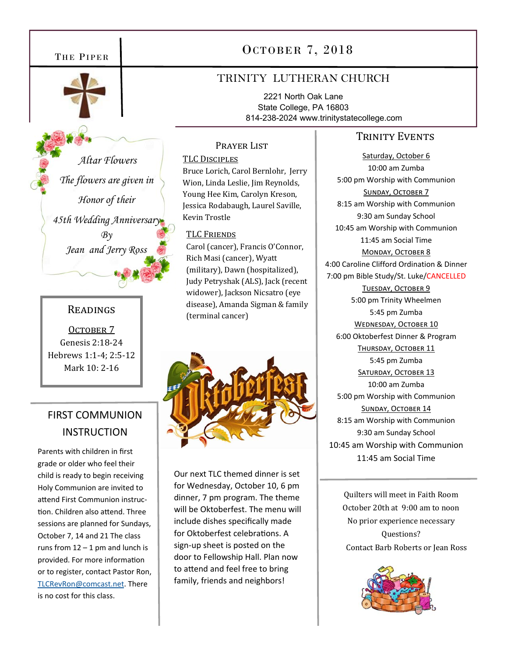

 *Altar Flowers The flowers are given in Honor of their 45th Wedding Anniversary*   $Bv$ *Jean and Jerry Ross* 

### READINGS

OCTOBER<sub>7</sub> Genesis 2:18-24 Hebrews 1:1-4; 2:5-12 Mark 10: 2-16

# FIRST COMMUNION **INSTRUCTION**

Parents with children in first grade or older who feel their child is ready to begin receiving Holy Communion are invited to attend First Communion instruction. Children also attend. Three sessions are planned for Sundays, October 7, 14 and 21 The class runs from  $12 - 1$  pm and lunch is provided. For more information or to register, contact Pastor Ron, TLCRevRon@comcast.net. There is no cost for this class.

# THE PIPER  $\vert$  0 CTOBER 7, 2018

# TRINITY LUTHERAN CHURCH

2221 North Oak Lane State College, PA 16803 814-238-2024 www.trinitystatecollege.com

## TRINITY EVENTS

Saturday, October 6 10:00 am Zumba 5:00 pm Worship with Communion SUNDAY, OCTOBER 7 8:15 am Worship with Communion 9:30 am Sunday School 10:45 am Worship with Communion 11:45 am Social Time MONDAY, OCTOBER 8 4:00 Caroline Clifford Ordination & Dinner 7:00 pm Bible Study/St. Luke/CANCELLED TUESDAY, OCTOBER 9 5:00 pm Trinity Wheelmen 5:45 pm Zumba WEDNESDAY, OCTOBER 10 6:00 Oktoberfest Dinner & Program THURSDAY, OCTOBER 11 5:45 pm Zumba SATURDAY, OCTOBER 13 10:00 am Zumba 5:00 pm Worship with Communion SUNDAY, OCTOBER 14 8:15 am Worship with Communion 9:30 am Sunday School 10:45 am Worship with Communion 11:45 am Social Time

> Quilters will meet in Faith Room October 20th at 9:00 am to noon No prior experience necessary Questions? Contact Barb Roberts or Jean Ross



Prayer List

Bruce Lorich, Carol Bernlohr, Jerry Wion, Linda Leslie, Jim Reynolds, Young Hee Kim, Carolyn Kreson, Jessica Rodabaugh, Laurel Saville,

Carol (cancer), Francis O'Connor,

Rich Masi (cancer), Wyatt (military), Dawn (hospitalized), Judy Petryshak (ALS), Jack (recent widower), Jackson Nicsatro (eye disease), Amanda Sigman & family

TLC DISCIPLES

Kevin Trostle

TLC FRIENDS

(terminal cancer)

Our next TLC themed dinner is set for Wednesday, October 10, 6 pm dinner, 7 pm program. The theme will be Oktoberfest. The menu will include dishes specifically made for Oktoberfest celebrations. A sign-up sheet is posted on the door to Fellowship Hall. Plan now to attend and feel free to bring family, friends and neighbors!